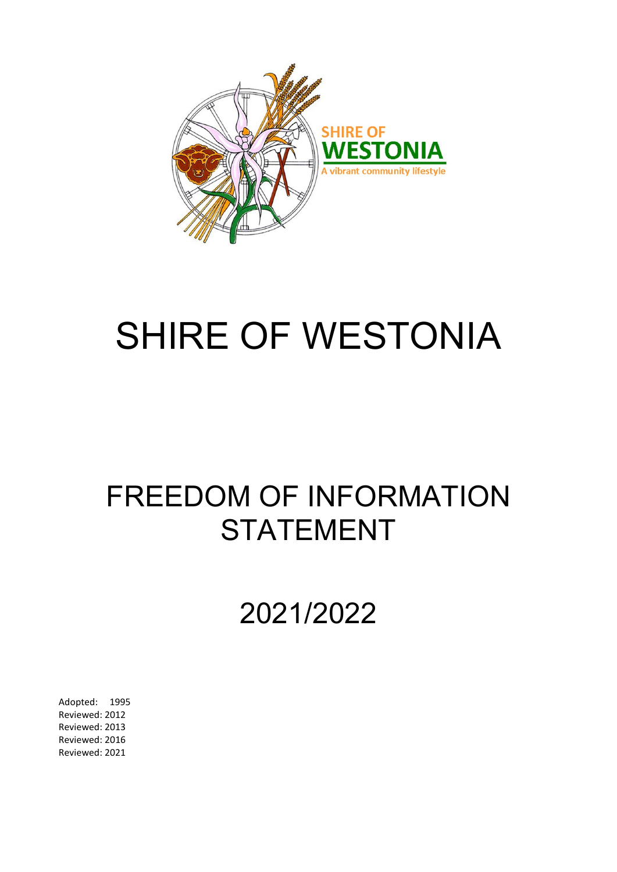

# SHIRE OF WESTONIA

# FREEDOM OF INFORMATION STATEMENT

# 2021/2022

Adopted: 1995 Reviewed: 2012 Reviewed: 2013 Reviewed: 2016 Reviewed: 2021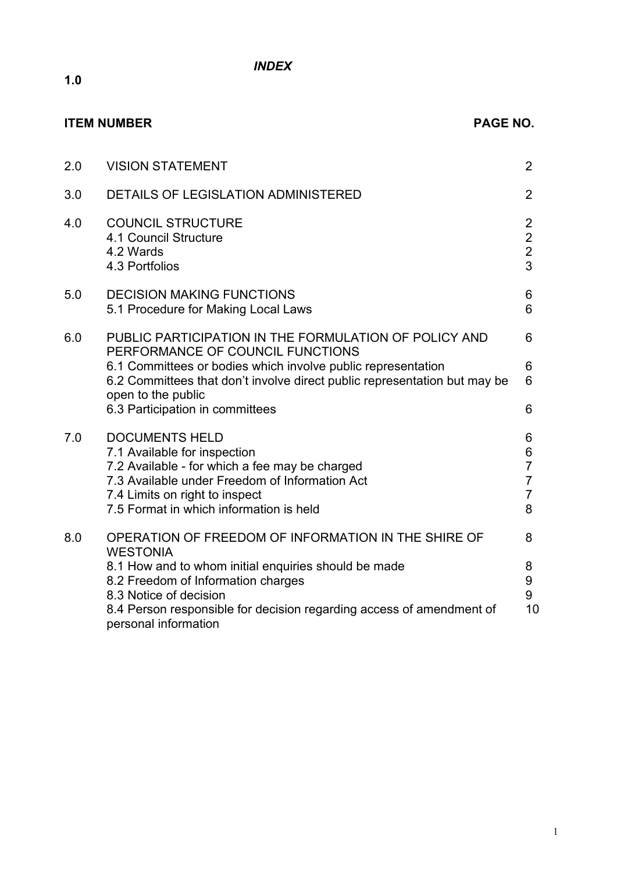*INDEX*

|     | <b>ITEM NUMBER</b><br><b>PAGE NO.</b>                                                                                                                                                                                                                        |                                                                   |  |  |
|-----|--------------------------------------------------------------------------------------------------------------------------------------------------------------------------------------------------------------------------------------------------------------|-------------------------------------------------------------------|--|--|
| 2.0 | <b>VISION STATEMENT</b>                                                                                                                                                                                                                                      | 2                                                                 |  |  |
| 3.0 | DETAILS OF LEGISLATION ADMINISTERED                                                                                                                                                                                                                          | $\overline{2}$                                                    |  |  |
| 4.0 | <b>COUNCIL STRUCTURE</b><br>4.1 Council Structure<br>4.2 Wards<br>4.3 Portfolios                                                                                                                                                                             | $\overline{2}$<br>$\overline{2}$<br>$\overline{2}$<br>3           |  |  |
| 5.0 | <b>DECISION MAKING FUNCTIONS</b><br>5.1 Procedure for Making Local Laws                                                                                                                                                                                      | 6<br>6                                                            |  |  |
| 6.0 | PUBLIC PARTICIPATION IN THE FORMULATION OF POLICY AND<br>PERFORMANCE OF COUNCIL FUNCTIONS<br>6.1 Committees or bodies which involve public representation<br>6.2 Committees that don't involve direct public representation but may be<br>open to the public | 6<br>6<br>6                                                       |  |  |
|     | 6.3 Participation in committees                                                                                                                                                                                                                              | 6                                                                 |  |  |
| 7.0 | <b>DOCUMENTS HELD</b><br>7.1 Available for inspection<br>7.2 Available - for which a fee may be charged<br>7.3 Available under Freedom of Information Act<br>7.4 Limits on right to inspect<br>7.5 Format in which information is held                       | 6<br>6<br>$\overline{7}$<br>$\overline{7}$<br>$\overline{7}$<br>8 |  |  |
| 8.0 | OPERATION OF FREEDOM OF INFORMATION IN THE SHIRE OF<br><b>WESTONIA</b>                                                                                                                                                                                       | 8                                                                 |  |  |
|     | 8.1 How and to whom initial enquiries should be made<br>8.2 Freedom of Information charges<br>8.3 Notice of decision<br>8.4 Person responsible for decision regarding access of amendment of<br>personal information                                         | 8<br>9<br>9<br>10                                                 |  |  |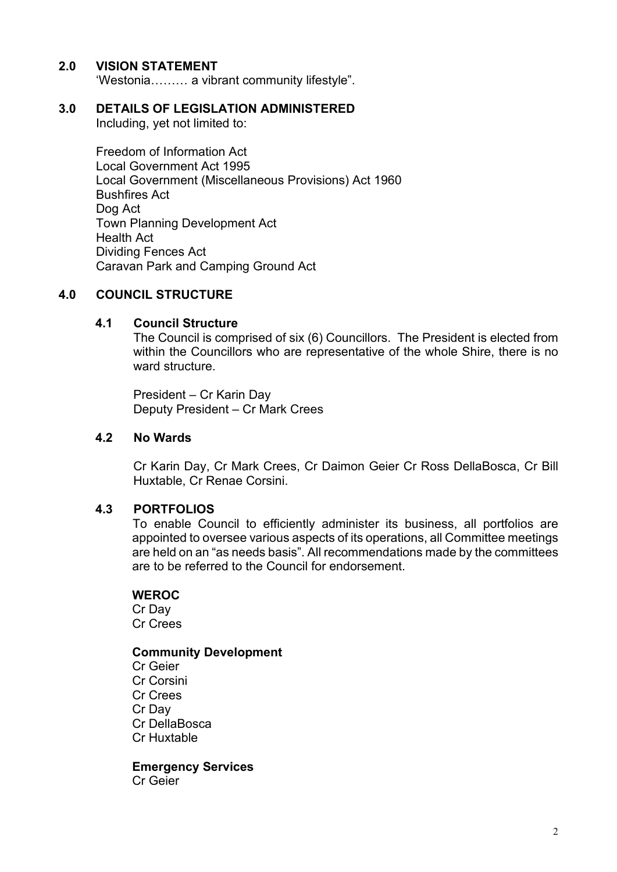# **2.0 VISION STATEMENT**

'Westonia……… a vibrant community lifestyle".

# **3.0 DETAILS OF LEGISLATION ADMINISTERED**

Including, yet not limited to:

Freedom of Information Act Local Government Act 1995 Local Government (Miscellaneous Provisions) Act 1960 Bushfires Act Dog Act Town Planning Development Act Health Act Dividing Fences Act Caravan Park and Camping Ground Act

# **4.0 COUNCIL STRUCTURE**

# **4.1 Council Structure**

The Council is comprised of six (6) Councillors. The President is elected from within the Councillors who are representative of the whole Shire, there is no ward structure.

President – Cr Karin Day Deputy President – Cr Mark Crees

# **4.2 No Wards**

Cr Karin Day, Cr Mark Crees, Cr Daimon Geier Cr Ross DellaBosca, Cr Bill Huxtable, Cr Renae Corsini.

# **4.3 PORTFOLIOS**

To enable Council to efficiently administer its business, all portfolios are appointed to oversee various aspects of its operations, all Committee meetings are held on an "as needs basis". All recommendations made by the committees are to be referred to the Council for endorsement.

# **WEROC**

Cr Day Cr Crees

# **Community Development**

Cr Geier Cr Corsini Cr Crees Cr Day Cr DellaBosca Cr Huxtable

**Emergency Services** Cr Geier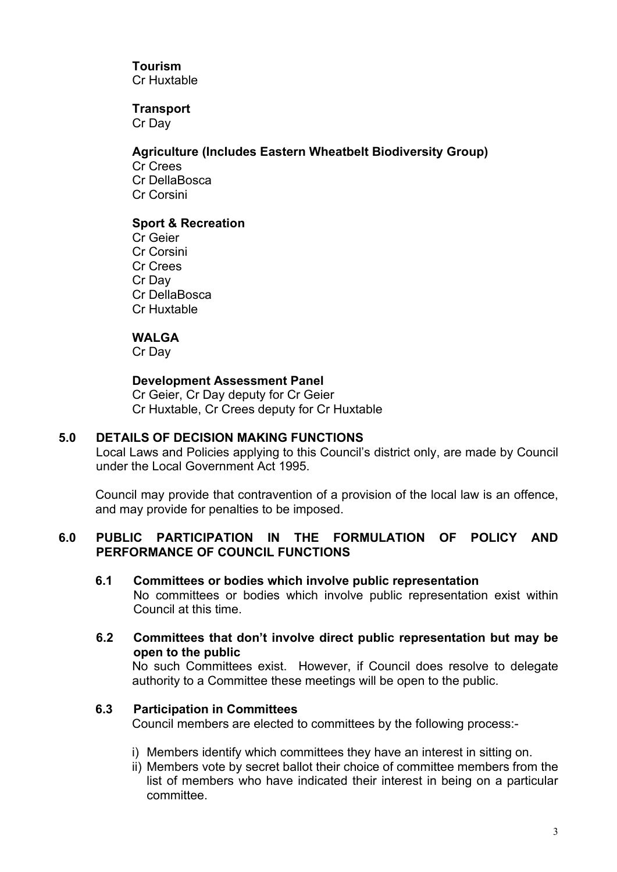# **Tourism**

Cr Huxtable

# **Transport**

Cr Day

# **Agriculture (Includes Eastern Wheatbelt Biodiversity Group)**

Cr Crees Cr DellaBosca Cr Corsini

# **Sport & Recreation**

Cr Geier Cr Corsini Cr Crees Cr Day Cr DellaBosca Cr Huxtable

# **WALGA**

Cr Day

# **Development Assessment Panel**

Cr Geier, Cr Day deputy for Cr Geier Cr Huxtable, Cr Crees deputy for Cr Huxtable

# **5.0 DETAILS OF DECISION MAKING FUNCTIONS**

Local Laws and Policies applying to this Council's district only, are made by Council under the Local Government Act 1995.

Council may provide that contravention of a provision of the local law is an offence, and may provide for penalties to be imposed.

# **6.0 PUBLIC PARTICIPATION IN THE FORMULATION OF POLICY AND PERFORMANCE OF COUNCIL FUNCTIONS**

# **6.1 Committees or bodies which involve public representation**

No committees or bodies which involve public representation exist within Council at this time.

**6.2 Committees that don't involve direct public representation but may be open to the public**

No such Committees exist. However, if Council does resolve to delegate authority to a Committee these meetings will be open to the public.

# **6.3 Participation in Committees**

Council members are elected to committees by the following process:-

- i) Members identify which committees they have an interest in sitting on.
- ii) Members vote by secret ballot their choice of committee members from the list of members who have indicated their interest in being on a particular committee.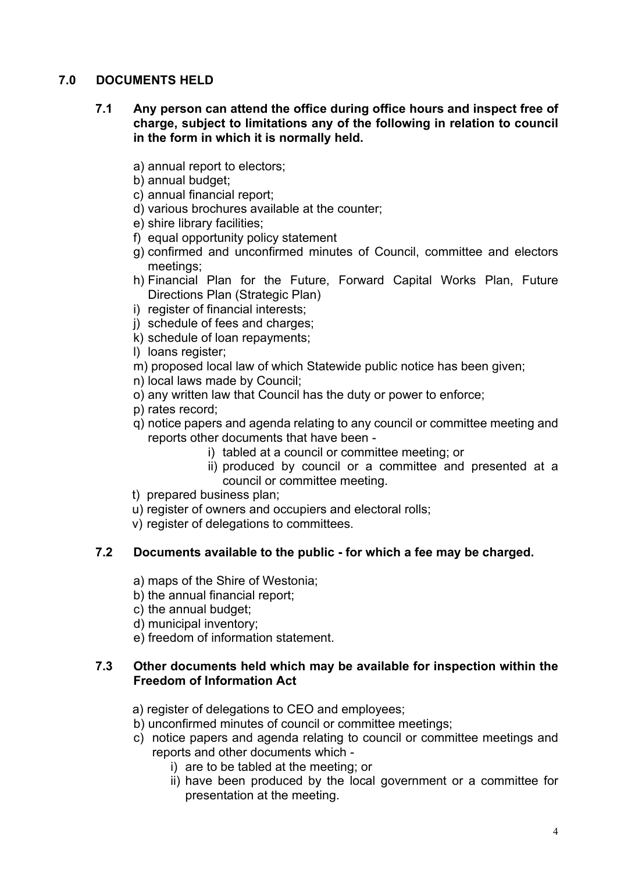# **7.0 DOCUMENTS HELD**

# **7.1 Any person can attend the office during office hours and inspect free of charge, subject to limitations any of the following in relation to council in the form in which it is normally held.**

- a) annual report to electors;
- b) annual budget;
- c) annual financial report;
- d) various brochures available at the counter;
- e) shire library facilities;
- f) equal opportunity policy statement
- g) confirmed and unconfirmed minutes of Council, committee and electors meetings;
- h) Financial Plan for the Future, Forward Capital Works Plan, Future Directions Plan (Strategic Plan)
- i) register of financial interests;
- j) schedule of fees and charges;
- k) schedule of loan repayments;
- l) loans register;
- m) proposed local law of which Statewide public notice has been given;
- n) local laws made by Council;
- o) any written law that Council has the duty or power to enforce;
- p) rates record;
- q) notice papers and agenda relating to any council or committee meeting and reports other documents that have been
	- i) tabled at a council or committee meeting; or
	- ii) produced by council or a committee and presented at a council or committee meeting.
- t) prepared business plan;
- u) register of owners and occupiers and electoral rolls;
- v) register of delegations to committees.

# **7.2 Documents available to the public - for which a fee may be charged.**

- a) maps of the Shire of Westonia;
- b) the annual financial report;
- c) the annual budget;
- d) municipal inventory;
- e) freedom of information statement.

# **7.3 Other documents held which may be available for inspection within the Freedom of Information Act**

- a) register of delegations to CEO and employees;
- b) unconfirmed minutes of council or committee meetings;
- c) notice papers and agenda relating to council or committee meetings and reports and other documents which
	- i) are to be tabled at the meeting; or
	- ii) have been produced by the local government or a committee for presentation at the meeting.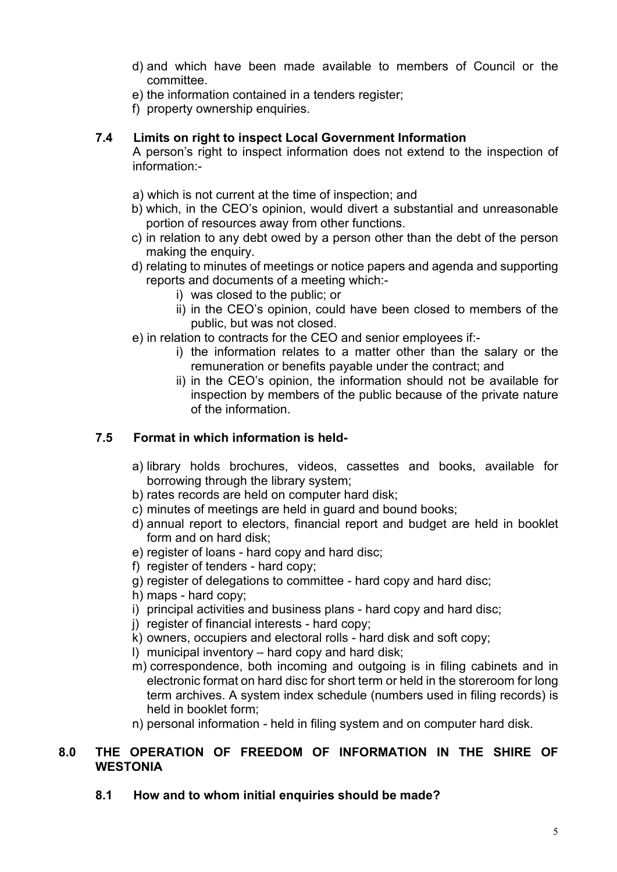- d) and which have been made available to members of Council or the committee.
- e) the information contained in a tenders register;
- f) property ownership enquiries.

# **7.4 Limits on right to inspect Local Government Information**

A person's right to inspect information does not extend to the inspection of information:-

- a) which is not current at the time of inspection; and
- b) which, in the CEO's opinion, would divert a substantial and unreasonable portion of resources away from other functions.
- c) in relation to any debt owed by a person other than the debt of the person making the enquiry.
- d) relating to minutes of meetings or notice papers and agenda and supporting reports and documents of a meeting which:
	- i) was closed to the public; or
	- ii) in the CEO's opinion, could have been closed to members of the public, but was not closed.
- e) in relation to contracts for the CEO and senior employees if:
	- i) the information relates to a matter other than the salary or the remuneration or benefits payable under the contract; and
	- ii) in the CEO's opinion, the information should not be available for inspection by members of the public because of the private nature of the information.

# **7.5 Format in which information is held-**

- a) library holds brochures, videos, cassettes and books, available for borrowing through the library system;
- b) rates records are held on computer hard disk;
- c) minutes of meetings are held in guard and bound books;
- d) annual report to electors, financial report and budget are held in booklet form and on hard disk;
- e) register of loans hard copy and hard disc;
- f) register of tenders hard copy;
- g) register of delegations to committee hard copy and hard disc;
- h) maps hard copy;
- i) principal activities and business plans hard copy and hard disc;
- j) register of financial interests hard copy;
- k) owners, occupiers and electoral rolls hard disk and soft copy;
- l) municipal inventory hard copy and hard disk;
- m) correspondence, both incoming and outgoing is in filing cabinets and in electronic format on hard disc for short term or held in the storeroom for long term archives. A system index schedule (numbers used in filing records) is held in booklet form;
- n) personal information held in filing system and on computer hard disk.

# **8.0 THE OPERATION OF FREEDOM OF INFORMATION IN THE SHIRE OF WESTONIA**

**8.1 How and to whom initial enquiries should be made?**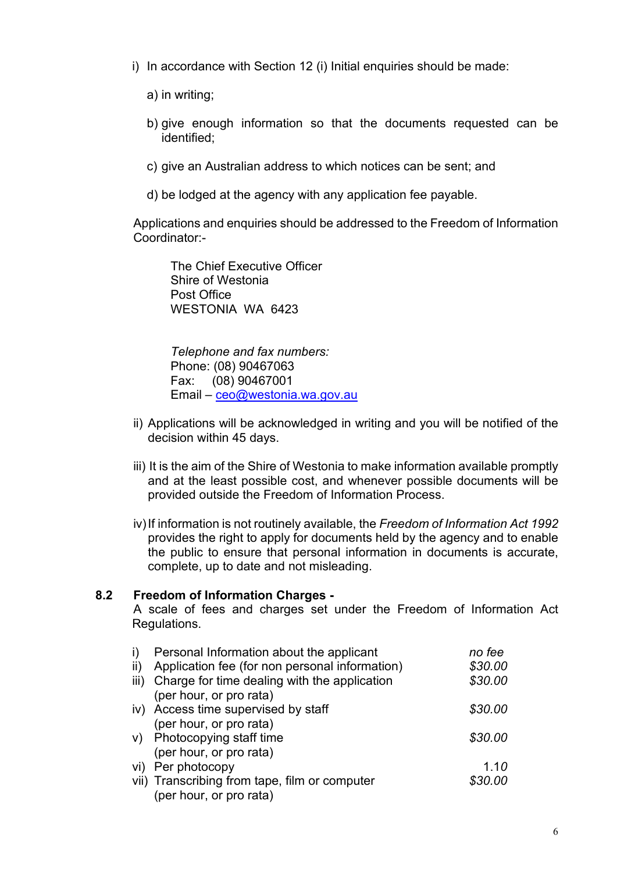- i) In accordance with Section 12 (i) Initial enquiries should be made:
	- a) in writing;
	- b) give enough information so that the documents requested can be identified;
	- c) give an Australian address to which notices can be sent; and
	- d) be lodged at the agency with any application fee payable.

Applications and enquiries should be addressed to the Freedom of Information Coordinator:-

 The Chief Executive Officer Shire of Westonia Post Office WESTONIA WA 6423

 *Telephone and fax numbers:* Phone: (08) 90467063 Fax: (08) 90467001 Email – [ceo@westonia.wa.gov.au](mailto:ceo@westonia.wa.gov.au) 

- ii) Applications will be acknowledged in writing and you will be notified of the decision within 45 days.
- iii) It is the aim of the Shire of Westonia to make information available promptly and at the least possible cost, and whenever possible documents will be provided outside the Freedom of Information Process.
- iv)If information is not routinely available, the *Freedom of Information Act 1992*  provides the right to apply for documents held by the agency and to enable the public to ensure that personal information in documents is accurate, complete, up to date and not misleading.

# **8.2 Freedom of Information Charges -**

A scale of fees and charges set under the Freedom of Information Act Regulations.

| i)   | Personal Information about the applicant       | no fee  |
|------|------------------------------------------------|---------|
| ii)  | Application fee (for non personal information) | \$30.00 |
| iii) | Charge for time dealing with the application   | \$30.00 |
|      | (per hour, or pro rata)                        |         |
|      | iv) Access time supervised by staff            | \$30.00 |
|      | (per hour, or pro rata)                        |         |
|      | v) Photocopying staff time                     | \$30.00 |
|      | (per hour, or pro rata)                        |         |
|      | vi) Per photocopy                              | 1.10    |
|      | vii) Transcribing from tape, film or computer  | \$30.00 |
|      | (per hour, or pro rata)                        |         |